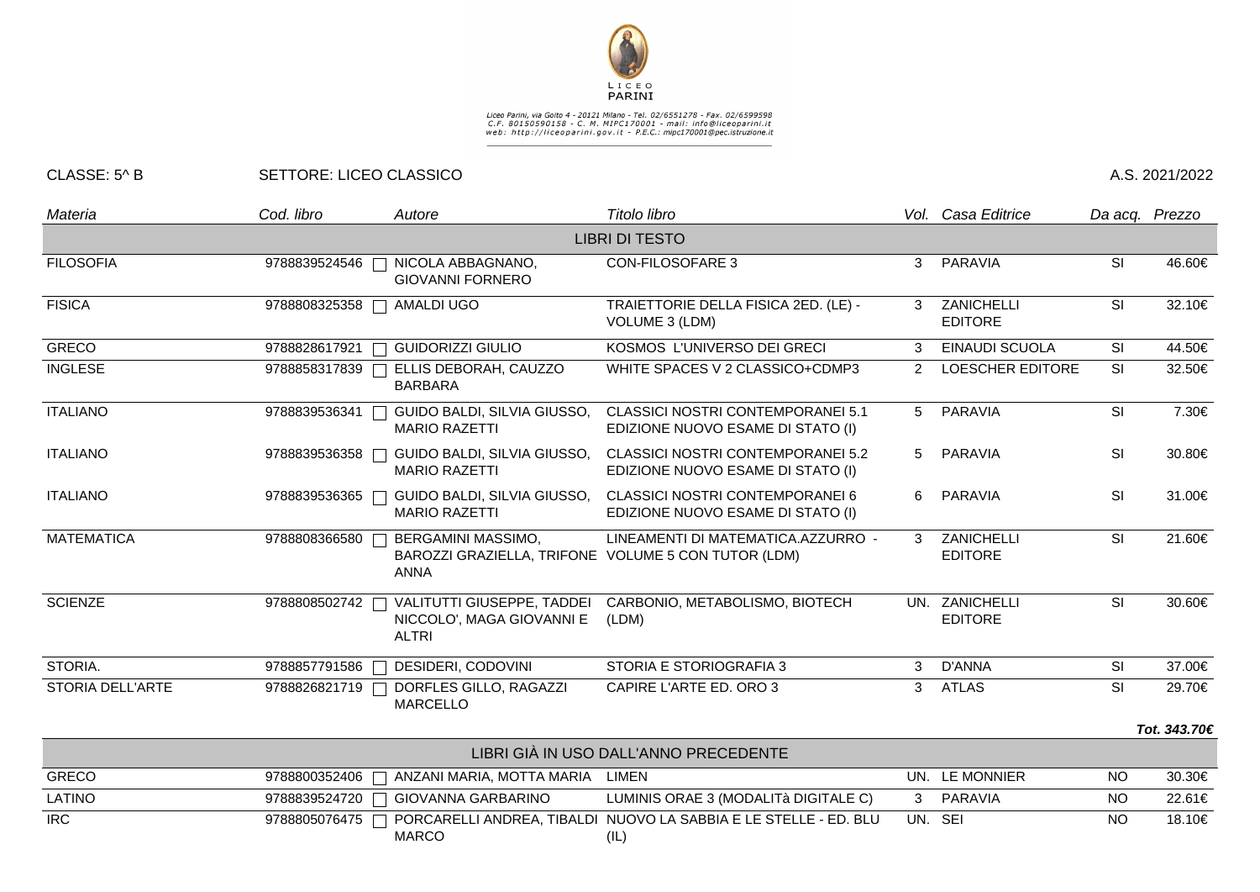

## Liceo Parini, via Goito 4 - 20121 Milano - Tel. 02/6551278 - Fax. 02/6599598<br>C.F. 80150590158 - C. M. MIPC170001 - mail: info@liceoparini.it<br>web: http://liceoparini.gov.it - P.E.C.: mipc170001@pec.istruzione.it

## CLASSE: 5^ B SETTORE: LICEO CLASSICO A.S. 2021/2022

| Materia           | Cod. libro    | Autore                                                                                   | Titolo libro                                                                  |                                   | Vol. I<br>Casa Editrice          |           | Da acq. Prezzo |
|-------------------|---------------|------------------------------------------------------------------------------------------|-------------------------------------------------------------------------------|-----------------------------------|----------------------------------|-----------|----------------|
|                   |               |                                                                                          | <b>LIBRI DI TESTO</b>                                                         |                                   |                                  |           |                |
| <b>FILOSOFIA</b>  | 9788839524546 | NICOLA ABBAGNANO,<br>П<br><b>GIOVANNI FORNERO</b>                                        | <b>CON-FILOSOFARE 3</b><br>3<br>PARAVIA                                       |                                   | SI                               | 46.60€    |                |
| <b>FISICA</b>     | 9788808325358 | <b>AMALDI UGO</b><br>$\Box$                                                              | TRAIETTORIE DELLA FISICA 2ED. (LE) -<br>VOLUME 3 (LDM)                        | ZANICHELLI<br>3<br><b>EDITORE</b> |                                  | SI        | 32.10€         |
| <b>GRECO</b>      | 9788828617921 | <b>GUIDORIZZI GIULIO</b><br><b>Contract</b>                                              | KOSMOS L'UNIVERSO DEI GRECI                                                   | 3                                 | EINAUDI SCUOLA                   | <b>SI</b> | 44.50€         |
| <b>INGLESE</b>    | 9788858317839 | ELLIS DEBORAH, CAUZZO<br>$\blacksquare$<br><b>BARBARA</b>                                | WHITE SPACES V 2 CLASSICO+CDMP3                                               | $\mathcal{P}$                     | <b>LOESCHER EDITORE</b>          | <b>SI</b> | 32.50€         |
| <b>ITALIANO</b>   | 9788839536341 | GUIDO BALDI, SILVIA GIUSSO,<br><b>MARIO RAZETTI</b>                                      | <b>CLASSICI NOSTRI CONTEMPORANEI 5.1</b><br>EDIZIONE NUOVO ESAME DI STATO (I) | 5                                 | <b>PARAVIA</b>                   | SI        | 7.30€          |
| <b>ITALIANO</b>   | 9788839536358 | GUIDO BALDI, SILVIA GIUSSO,<br><b>MARIO RAZETTI</b>                                      | <b>CLASSICI NOSTRI CONTEMPORANEI 5.2</b><br>EDIZIONE NUOVO ESAME DI STATO (I) | 5                                 | <b>PARAVIA</b>                   | SI        | 30.80€         |
| <b>ITALIANO</b>   | 9788839536365 | GUIDO BALDI, SILVIA GIUSSO,<br><b>MARIO RAZETTI</b>                                      | CLASSICI NOSTRI CONTEMPORANEI 6<br>EDIZIONE NUOVO ESAME DI STATO (I)          | 6                                 | <b>PARAVIA</b>                   | SI        | 31.00€         |
| <b>MATEMATICA</b> | 9788808366580 | BERGAMINI MASSIMO,<br>BAROZZI GRAZIELLA, TRIFONE VOLUME 5 CON TUTOR (LDM)<br><b>ANNA</b> | LINEAMENTI DI MATEMATICA.AZZURRO -                                            | $\mathcal{R}$                     | ZANICHELLI<br><b>EDITORE</b>     | <b>SI</b> | 21.60€         |
| <b>SCIENZE</b>    | 9788808502742 | VALITUTTI GIUSEPPE, TADDEI<br>NICCOLO', MAGA GIOVANNI E<br><b>ALTRI</b>                  | CARBONIO, METABOLISMO, BIOTECH<br>(LDM)                                       |                                   | UN. ZANICHELLI<br><b>EDITORE</b> | <b>SI</b> | 30.60€         |
| STORIA.           | 9788857791586 | DESIDERI, CODOVINI<br>$\subset$ <sub>1</sub>                                             | STORIA E STORIOGRAFIA 3                                                       | 3                                 | D'ANNA                           | <b>SI</b> | 37.00€         |
| STORIA DELL'ARTE  | 9788826821719 | DORFLES GILLO, RAGAZZI<br><b>MARCELLO</b>                                                | CAPIRE L'ARTE ED. ORO 3                                                       | 3                                 | <b>ATLAS</b>                     | <b>SI</b> | 29.70€         |
|                   |               |                                                                                          |                                                                               |                                   |                                  |           | Tot. 343.70€   |
|                   |               |                                                                                          | LIBRI GIÀ IN USO DALL'ANNO PRECEDENTE                                         |                                   |                                  |           |                |
| <b>GRECO</b>      | 9788800352406 | ANZANI MARIA, MOTTA MARIA LIMEN                                                          |                                                                               |                                   | UN. LE MONNIER                   | <b>NO</b> | 30.30€         |
| <b>LATINO</b>     | 9788839524720 | <b>GIOVANNA GARBARINO</b><br>$\mathbf{L}$                                                | LUMINIS ORAE 3 (MODALITÀ DIGITALE C)                                          | 3                                 | <b>PARAVIA</b>                   | <b>NO</b> | 22.61€         |
|                   |               |                                                                                          |                                                                               |                                   |                                  |           |                |

IRC 9788805076475 PORCARELLI ANDREA, TIBALDI NUOVO LA SABBIA E LE STELLE - ED. BLU UN. SEI NO 18.10€MARCO